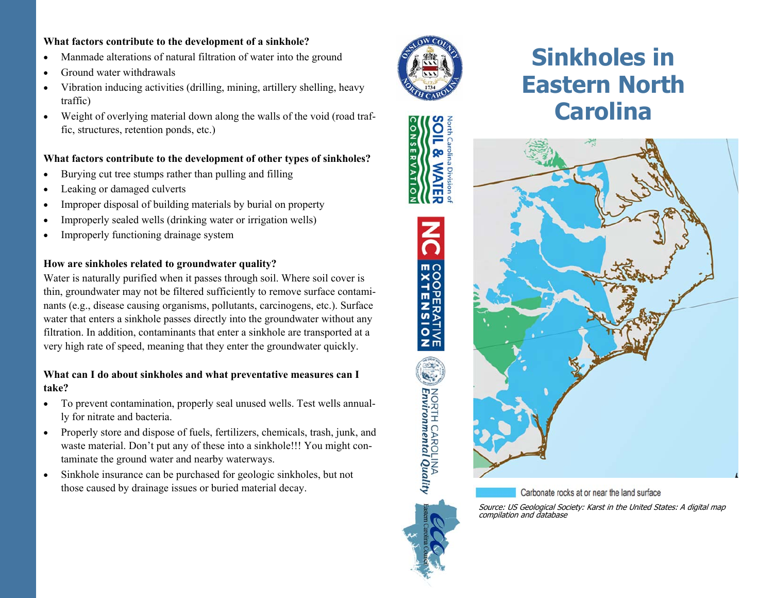#### **What factors contribute to the development of a sinkhole?**

- $\bullet$ Manmade alterations of natural filtration of water into the ground
- $\bullet$ Ground water withdrawals
- $\bullet$  Vibration inducing activities (drilling, mining, artillery shelling, heavy traffic)
- $\bullet$  Weight of overlying material down along the walls of the void (road traffic, structures, retention ponds, etc.)

#### **What factors contribute to the development of other types of sinkholes?**

- $\bullet$ Burying cut tree stumps rather than pulling and filling
- $\bullet$ Leaking or damaged culverts
- $\bullet$ Improper disposal of building materials by burial on property
- $\bullet$ Improperly sealed wells (drinking water or irrigation wells)
- $\bullet$ Improperly functioning drainage system

#### **How are sinkholes related to groundwater quality?**

Water is naturally purified when it passes through soil. Where soil cover is thin, groundwater may not be filtered sufficiently to remove surface contaminants (e.g., disease causing organisms, pollutants, carcinogens, etc.). Surface water that enters a sinkhole passes directly into the groundwater without any filtration. In addition, contaminants that enter a sinkhole are transported at a very high rate of speed, meaning that they enter the groundwater quickly.

#### **What can I do about sinkholes and what preventative measures can I take?**

- $\bullet$  To prevent contamination, properly seal unused wells. Test wells annually for nitrate and bacteria.
- $\bullet$  Properly store and dispose of fuels, fertilizers, chemicals, trash, junk, and waste material. Don't put any of these into a sinkhole!!! You might contaminate the ground water and nearby waterways.
- $\bullet$  Sinkhole insurance can be purchased for geologic sinkholes, but not those caused by drainage issues or buried material decay.



긂

**COOPERATIVE**<br>EXTENSION

NORTH CAROLINA<br>**Environmental Quality** 

**NSERVA** 

# **Sinkholes in Eastern North Carolina**



Carbonate rocks at or near the land surface

Source: US Geological Society: Karst in the United States: A digital map compilation and database